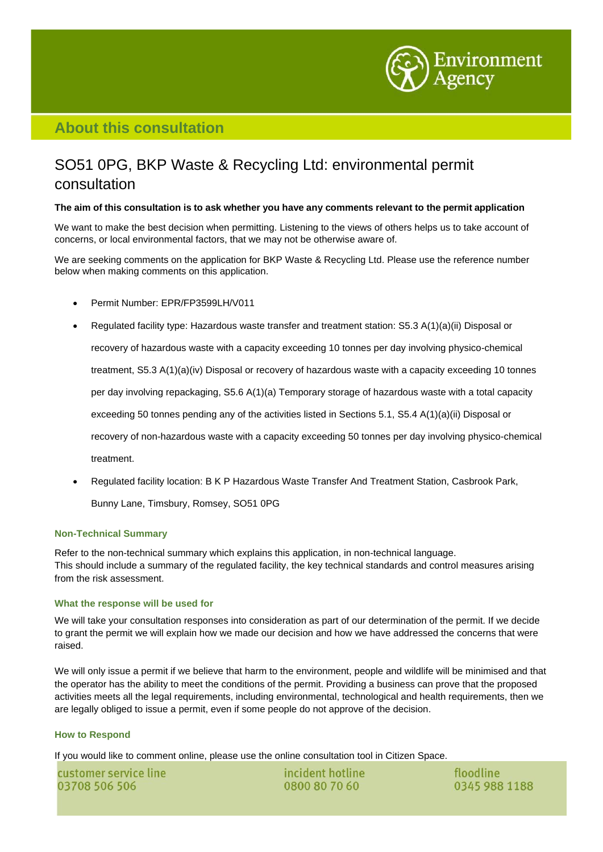

## **About this consultation**

# SO51 0PG, BKP Waste & Recycling Ltd: environmental permit consultation

### The aim of this consultation is to ask whether you have any comments relevant to the permit application

We want to make the best decision when permitting. Listening to the views of others helps us to take account of concerns, or local environmental factors, that we may not be otherwise aware of.

We are seeking comments on the application for BKP Waste & Recycling Ltd. Please use the reference number below when making comments on this application.

- Permit Number: EPR/FP3599LH/V011
- Regulated facility type: Hazardous waste transfer and treatment station: S5.3 A(1)(a)(ii) Disposal or recovery of hazardous waste with a capacity exceeding 10 tonnes per day involving physico-chemical treatment, S5.3 A(1)(a)(iv) Disposal or recovery of hazardous waste with a capacity exceeding 10 tonnes per day involving repackaging, S5.6 A(1)(a) Temporary storage of hazardous waste with a total capacity exceeding 50 tonnes pending any of the activities listed in Sections 5.1, S5.4 A(1)(a)(ii) Disposal or recovery of non-hazardous waste with a capacity exceeding 50 tonnes per day involving physico-chemical treatment.
- Regulated facility location: B K P Hazardous Waste Transfer And Treatment Station, Casbrook Park,

Bunny Lane, Timsbury, Romsey, SO51 0PG

### **Non-Technical Summary**

Refer to the non-technical summary which explains this application, in non-technical language. This should include a summary of the regulated facility, the key technical standards and control measures arising from the risk assessment.

### **What the response will be used for**

We will take your consultation responses into consideration as part of our determination of the permit. If we decide to grant the permit we will explain how we made our decision and how we have addressed the concerns that were raised.

We will only issue a permit if we believe that harm to the environment, people and wildlife will be minimised and that the operator has the ability to meet the conditions of the permit. Providing a business can prove that the proposed activities meets all the legal requirements, including environmental, technological and health requirements, then we are legally obliged to issue a permit, even if some people do not approve of the decision.

### **How to Respond**

If you would like to comment online, please use the online consultation tool in Citizen Space.

customer service line 03708 506 506

incident hotline 0800 80 70 60

floodline 0345 988 1188